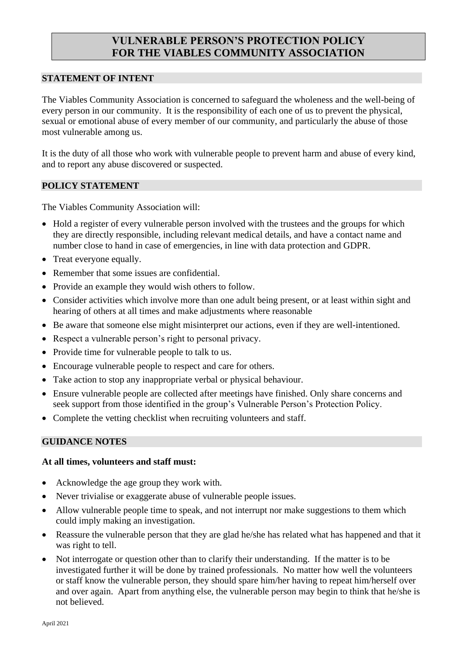# **VULNERABLE PERSON'S PROTECTION POLICY FOR THE VIABLES COMMUNITY ASSOCIATION**

#### **STATEMENT OF INTENT**

The Viables Community Association is concerned to safeguard the wholeness and the well-being of every person in our community. It is the responsibility of each one of us to prevent the physical, sexual or emotional abuse of every member of our community, and particularly the abuse of those most vulnerable among us.

It is the duty of all those who work with vulnerable people to prevent harm and abuse of every kind, and to report any abuse discovered or suspected.

### **POLICY STATEMENT**

The Viables Community Association will:

- Hold a register of every vulnerable person involved with the trustees and the groups for which they are directly responsible, including relevant medical details, and have a contact name and number close to hand in case of emergencies, in line with data protection and GDPR.
- Treat everyone equally.
- Remember that some issues are confidential.
- Provide an example they would wish others to follow.
- Consider activities which involve more than one adult being present, or at least within sight and hearing of others at all times and make adjustments where reasonable
- Be aware that someone else might misinterpret our actions, even if they are well-intentioned.
- Respect a vulnerable person's right to personal privacy.
- Provide time for vulnerable people to talk to us.
- Encourage vulnerable people to respect and care for others.
- Take action to stop any inappropriate verbal or physical behaviour.
- Ensure vulnerable people are collected after meetings have finished. Only share concerns and seek support from those identified in the group's Vulnerable Person's Protection Policy.
- Complete the vetting checklist when recruiting volunteers and staff.

### **GUIDANCE NOTES**

#### **At all times, volunteers and staff must:**

- Acknowledge the age group they work with.
- Never trivialise or exaggerate abuse of vulnerable people issues.
- Allow vulnerable people time to speak, and not interrupt nor make suggestions to them which could imply making an investigation.
- Reassure the vulnerable person that they are glad he/she has related what has happened and that it was right to tell.
- Not interrogate or question other than to clarify their understanding. If the matter is to be investigated further it will be done by trained professionals. No matter how well the volunteers or staff know the vulnerable person, they should spare him/her having to repeat him/herself over and over again. Apart from anything else, the vulnerable person may begin to think that he/she is not believed.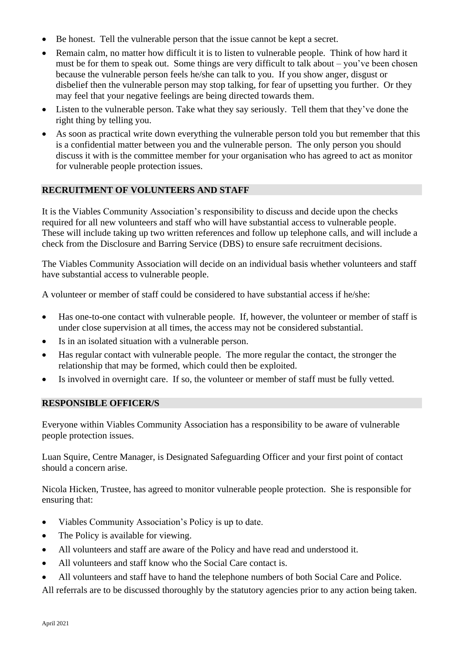- Be honest. Tell the vulnerable person that the issue cannot be kept a secret.
- Remain calm, no matter how difficult it is to listen to vulnerable people. Think of how hard it must be for them to speak out. Some things are very difficult to talk about – you've been chosen because the vulnerable person feels he/she can talk to you. If you show anger, disgust or disbelief then the vulnerable person may stop talking, for fear of upsetting you further. Or they may feel that your negative feelings are being directed towards them.
- Listen to the vulnerable person. Take what they say seriously. Tell them that they've done the right thing by telling you.
- As soon as practical write down everything the vulnerable person told you but remember that this is a confidential matter between you and the vulnerable person. The only person you should discuss it with is the committee member for your organisation who has agreed to act as monitor for vulnerable people protection issues.

# **RECRUITMENT OF VOLUNTEERS AND STAFF**

It is the Viables Community Association's responsibility to discuss and decide upon the checks required for all new volunteers and staff who will have substantial access to vulnerable people. These will include taking up two written references and follow up telephone calls, and will include a check from the Disclosure and Barring Service (DBS) to ensure safe recruitment decisions.

The Viables Community Association will decide on an individual basis whether volunteers and staff have substantial access to vulnerable people.

A volunteer or member of staff could be considered to have substantial access if he/she:

- Has one-to-one contact with vulnerable people. If, however, the volunteer or member of staff is under close supervision at all times, the access may not be considered substantial.
- Is in an isolated situation with a vulnerable person.
- Has regular contact with vulnerable people. The more regular the contact, the stronger the relationship that may be formed, which could then be exploited.
- Is involved in overnight care. If so, the volunteer or member of staff must be fully vetted.

### **RESPONSIBLE OFFICER/S**

Everyone within Viables Community Association has a responsibility to be aware of vulnerable people protection issues.

Luan Squire, Centre Manager, is Designated Safeguarding Officer and your first point of contact should a concern arise.

Nicola Hicken, Trustee, has agreed to monitor vulnerable people protection. She is responsible for ensuring that:

- Viables Community Association's Policy is up to date.
- The Policy is available for viewing.
- All volunteers and staff are aware of the Policy and have read and understood it.
- All volunteers and staff know who the Social Care contact is.
- All volunteers and staff have to hand the telephone numbers of both Social Care and Police.

All referrals are to be discussed thoroughly by the statutory agencies prior to any action being taken.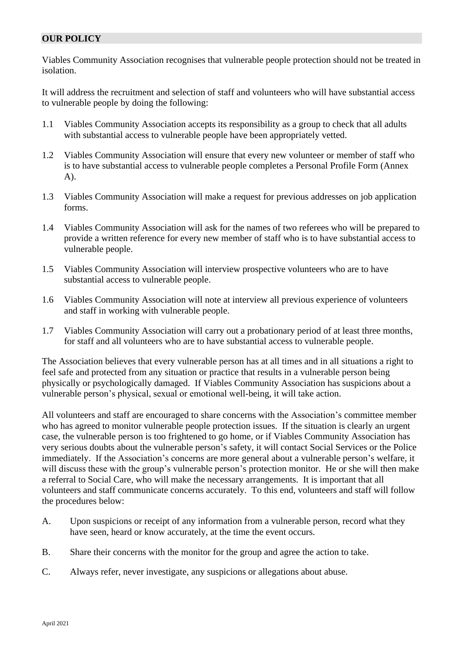## **OUR POLICY**

Viables Community Association recognises that vulnerable people protection should not be treated in isolation.

It will address the recruitment and selection of staff and volunteers who will have substantial access to vulnerable people by doing the following:

- 1.1 Viables Community Association accepts its responsibility as a group to check that all adults with substantial access to vulnerable people have been appropriately vetted.
- 1.2 Viables Community Association will ensure that every new volunteer or member of staff who is to have substantial access to vulnerable people completes a Personal Profile Form (Annex A).
- 1.3 Viables Community Association will make a request for previous addresses on job application forms.
- 1.4 Viables Community Association will ask for the names of two referees who will be prepared to provide a written reference for every new member of staff who is to have substantial access to vulnerable people.
- 1.5 Viables Community Association will interview prospective volunteers who are to have substantial access to vulnerable people.
- 1.6 Viables Community Association will note at interview all previous experience of volunteers and staff in working with vulnerable people.
- 1.7 Viables Community Association will carry out a probationary period of at least three months, for staff and all volunteers who are to have substantial access to vulnerable people.

The Association believes that every vulnerable person has at all times and in all situations a right to feel safe and protected from any situation or practice that results in a vulnerable person being physically or psychologically damaged. If Viables Community Association has suspicions about a vulnerable person's physical, sexual or emotional well-being, it will take action.

All volunteers and staff are encouraged to share concerns with the Association's committee member who has agreed to monitor vulnerable people protection issues. If the situation is clearly an urgent case, the vulnerable person is too frightened to go home, or if Viables Community Association has very serious doubts about the vulnerable person's safety, it will contact Social Services or the Police immediately. If the Association's concerns are more general about a vulnerable person's welfare, it will discuss these with the group's vulnerable person's protection monitor. He or she will then make a referral to Social Care, who will make the necessary arrangements. It is important that all volunteers and staff communicate concerns accurately. To this end, volunteers and staff will follow the procedures below:

- A. Upon suspicions or receipt of any information from a vulnerable person, record what they have seen, heard or know accurately, at the time the event occurs.
- B. Share their concerns with the monitor for the group and agree the action to take.
- C. Always refer, never investigate, any suspicions or allegations about abuse.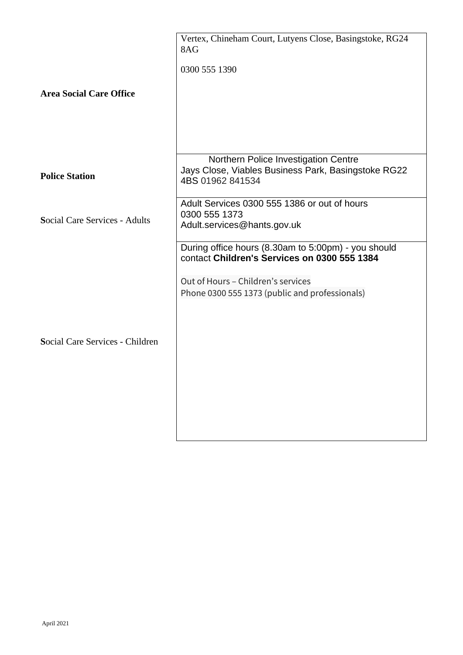|                                      | Vertex, Chineham Court, Lutyens Close, Basingstoke, RG24<br>8AG<br>0300 555 1390                                                                                                            |
|--------------------------------------|---------------------------------------------------------------------------------------------------------------------------------------------------------------------------------------------|
| <b>Area Social Care Office</b>       |                                                                                                                                                                                             |
| <b>Police Station</b>                | Northern Police Investigation Centre<br>Jays Close, Viables Business Park, Basingstoke RG22<br>4BS 01962 841534                                                                             |
| <b>Social Care Services - Adults</b> | Adult Services 0300 555 1386 or out of hours<br>0300 555 1373<br>Adult.services@hants.gov.uk                                                                                                |
| Social Care Services - Children      | During office hours (8.30am to 5:00pm) - you should<br>contact Children's Services on 0300 555 1384<br>Out of Hours - Children's services<br>Phone 0300 555 1373 (public and professionals) |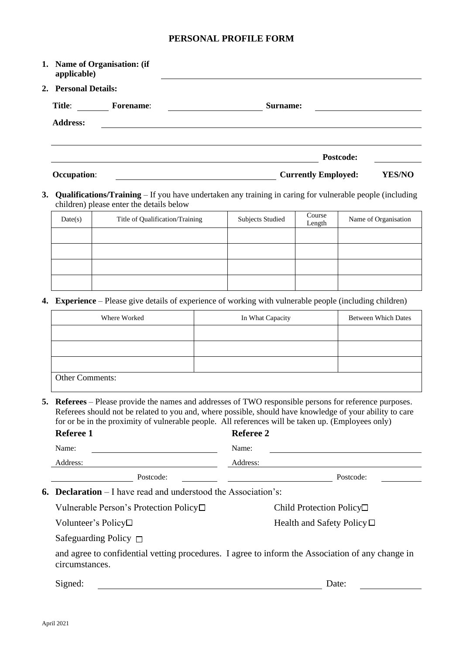# **PERSONAL PROFILE FORM**

| applicable)          | 1. Name of Organisation: (if |                                             |
|----------------------|------------------------------|---------------------------------------------|
| 2. Personal Details: |                              |                                             |
| Title:               | <b>Forename:</b>             | Surname:                                    |
| <b>Address:</b>      |                              |                                             |
|                      |                              | Postcode:                                   |
| <b>Occupation:</b>   |                              | <b>Currently Employed:</b><br><b>YES/NO</b> |

**3. Qualifications/Training** – If you have undertaken any training in caring for vulnerable people (including children) please enter the details below

| Date(s) | Title of Qualification/Training | <b>Subjects Studied</b> | Course<br>Length | Name of Organisation |
|---------|---------------------------------|-------------------------|------------------|----------------------|
|         |                                 |                         |                  |                      |
|         |                                 |                         |                  |                      |
|         |                                 |                         |                  |                      |
|         |                                 |                         |                  |                      |

**4. Experience** – Please give details of experience of working with vulnerable people (including children)

| Where Worked           | In What Capacity | <b>Between Which Dates</b> |
|------------------------|------------------|----------------------------|
|                        |                  |                            |
|                        |                  |                            |
|                        |                  |                            |
| <b>Other Comments:</b> |                  |                            |

**5. Referees** – Please provide the names and addresses of TWO responsible persons for reference purposes. Referees should not be related to you and, where possible, should have knowledge of your ability to care for or be in the proximity of vulnerable people. All references will be taken up. (Employees only)

|                                                                                                                   | Referee 1                                    | Referee 2                          |
|-------------------------------------------------------------------------------------------------------------------|----------------------------------------------|------------------------------------|
|                                                                                                                   | Name:                                        | Name:                              |
|                                                                                                                   | Address:                                     | Address:                           |
|                                                                                                                   | Postcode:                                    | Postcode:                          |
| <b>6. Declaration</b> – I have read and understood the Association's:                                             |                                              |                                    |
|                                                                                                                   | Vulnerable Person's Protection Policy $\Box$ | Child Protection Policy $\Box$     |
|                                                                                                                   | Volunteer's Policy□                          | Health and Safety Policy $\square$ |
|                                                                                                                   | Safeguarding Policy $\Box$                   |                                    |
| and agree to confidential vetting procedures. I agree to inform the Association of any change in<br>circumstances |                                              |                                    |

circumstances.

Signed: Date: